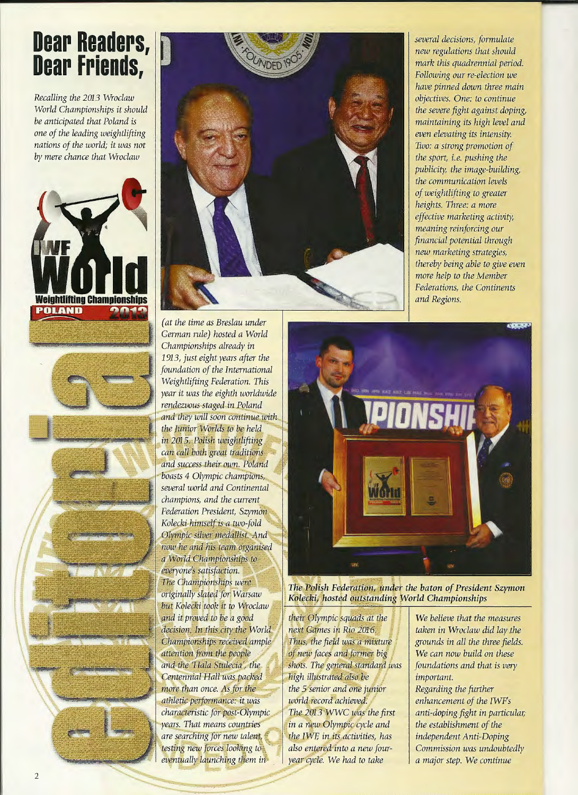## **Dear Readers, Dear Friends,**

*Recalling the* 2m3 *Wroclaw World Championships it should be anticipated that Poland is one of the leading weightlifting nations of the world; it was not by mere chance that Wroclaw* 







(at the time as Breslau under German rule) hosted a World Championships already in 1913, just eight years after the foundation of the International Weightlifting Federation. This year it was the eighth worldwide rendezvous staged in Poland and they will soon continue with the Junior Worlds to be held in 2015. Polish weightlifting can call both great traditions and success their own. Poland boasts 4 Olympic champions, several world and Continental champions, and the current Federation President, Szymon Kolecki himself is a two-fold Olympic silver medallist. And now he and his team organised a World Championships to everyone's satisfaction. The Championships were originally slated for Warsaw but Kolecki took it to Wroclaw and it proved to be a good decision. In this city the World Championships received ample attention from the people and the 'Hala Stulecia', the Centennial Hall was packed more than once. As for the athletic performance: it was characteristic for post-Olympic years. That means countries are searching for new talent, testing new forces looking to eventually launching them in

*several decisíons, formulate new regulations that should mark this quadrennial period. Following our re-election we have pinned down three main objectives. One: to continue the severe fight against doping, maintaining its high levei and even elevating its intensity. Two: a strong promotion of the sport, i.e. pushing the publicity, the image-building, the communication levels of weightlifting to greater heights. Three: a more effective marketing activity, meaning reinforcing our financial potential through new marketing strategies, thereby being able to give even more help to the Member Federations, the Continents*  and Regions.



The Polish Federation, under the baton of President Szymon Kolecki, hosted outstanding World Championships

their Olympic squads at the next Games in Rio 2016. Thus, the field was a mixture of new faces and former big shots. The general standard was high illustrated also be the 5 senior and one junior world record achieved. The 2013 WWC was the first in a new Olympic cycle and the IWF, in its activities, has also entered into a new fouryear cycle. We had to take

*We believe that the measures taken in Wroclaw did lay the grounds ín all the three fields. We can now build on these foundations and that is very important. Regarding the further enhancement of the IWFs anti-doping fight in particular; the establishment of the independent Anti-Doping Commission was undoubtedly a major step. We continue*